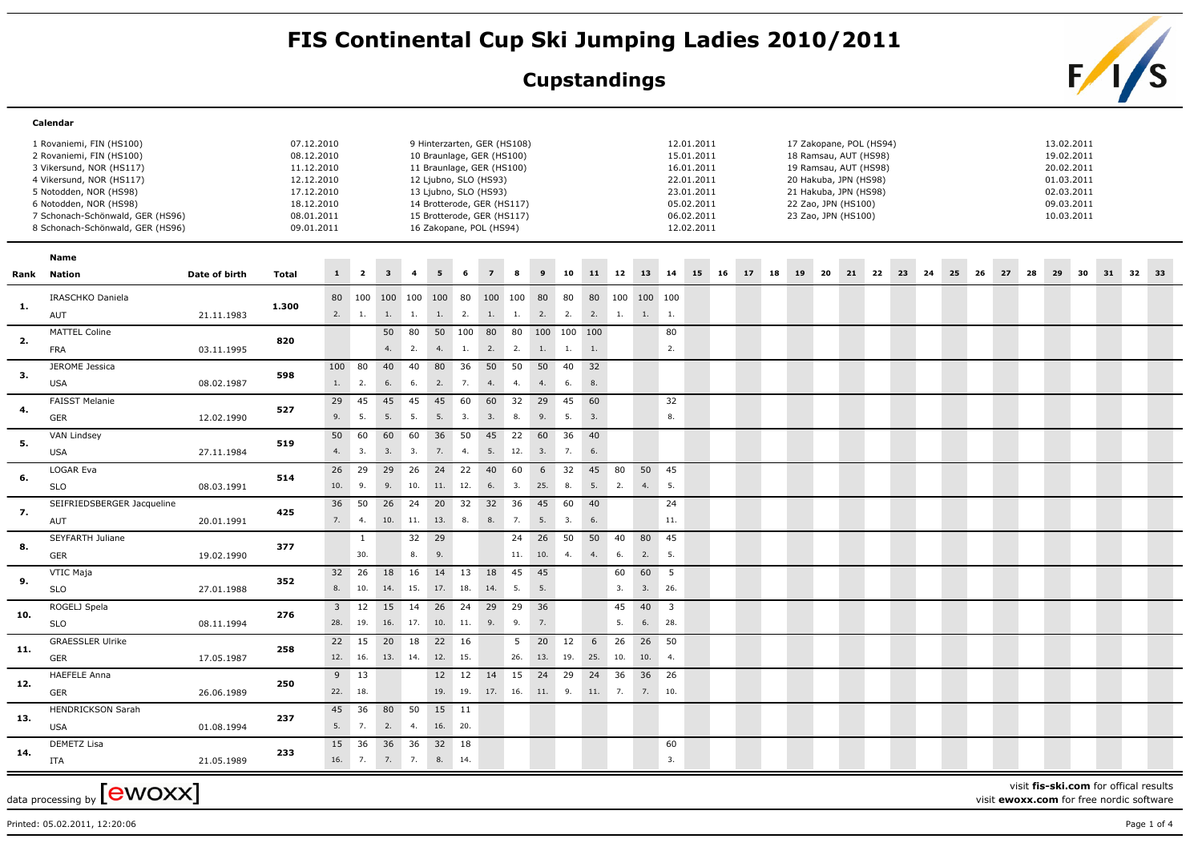## FIS Continental Cup Ski Jumping Ladies 2010/2011<br>Cupstandings<br>**FIS**

## **Cupstandings**



|      | Calendar                                                                                                                                                                                                                                 |               |                                                                                                              |              |                  |                                |                |                  |           |                                                                                                                                                                                                                                |               |              |                                |              |           |                           |                                |                                                                                                              |    |    |    |                                                                                                                                                                           |    |          |    |    |    |     |    |    |                                                                                                |    |    |    |      |  |
|------|------------------------------------------------------------------------------------------------------------------------------------------------------------------------------------------------------------------------------------------|---------------|--------------------------------------------------------------------------------------------------------------|--------------|------------------|--------------------------------|----------------|------------------|-----------|--------------------------------------------------------------------------------------------------------------------------------------------------------------------------------------------------------------------------------|---------------|--------------|--------------------------------|--------------|-----------|---------------------------|--------------------------------|--------------------------------------------------------------------------------------------------------------|----|----|----|---------------------------------------------------------------------------------------------------------------------------------------------------------------------------|----|----------|----|----|----|-----|----|----|------------------------------------------------------------------------------------------------|----|----|----|------|--|
|      | 1 Rovaniemi, FIN (HS100)<br>2 Rovaniemi, FIN (HS100)<br>3 Vikersund, NOR (HS117)<br>4 Vikersund, NOR (HS117)<br>5 Notodden, NOR (HS98)<br>6 Notodden, NOR (HS98)<br>7 Schonach-Schönwald, GER (HS96)<br>8 Schonach-Schönwald, GER (HS96) |               | 07.12.2010<br>08.12.2010<br>11.12.2010<br>12.12.2010<br>17.12.2010<br>18.12.2010<br>08.01.2011<br>09.01.2011 |              |                  |                                |                |                  |           | 9 Hinterzarten, GER (HS108)<br>10 Braunlage, GER (HS100)<br>11 Braunlage, GER (HS100)<br>12 Ljubno, SLO (HS93)<br>13 Ljubno, SLO (HS93)<br>14 Brotterode, GER (HS117)<br>15 Brotterode, GER (HS117)<br>16 Zakopane, POL (HS94) |               |              |                                |              |           |                           |                                | 12.01.2011<br>15.01.2011<br>16.01.2011<br>22.01.2011<br>23.01.2011<br>05.02.2011<br>06.02.2011<br>12.02.2011 |    |    |    | 17 Zakopane, POL (HS94)<br>18 Ramsau, AUT (HS98)<br>19 Ramsau, AUT (HS98)<br>20 Hakuba, JPN (HS98)<br>21 Hakuba, JPN (HS98)<br>22 Zao, JPN (HS100)<br>23 Zao, JPN (HS100) |    |          |    |    |    |     |    |    | 13.02.2011<br>19.02.2011<br>20.02.2011<br>01.03.2011<br>02.03.2011<br>09.03.2011<br>10.03.2011 |    |    |    |      |  |
|      | Name                                                                                                                                                                                                                                     |               |                                                                                                              |              |                  |                                |                |                  |           |                                                                                                                                                                                                                                |               |              |                                |              |           |                           |                                |                                                                                                              |    |    |    |                                                                                                                                                                           |    |          |    |    |    |     |    |    |                                                                                                |    |    |    |      |  |
| Rank | Nation                                                                                                                                                                                                                                   | Date of birth | <b>Total</b>                                                                                                 | $\mathbf{1}$ | $\overline{2}$   |                                | $\overline{4}$ |                  | 6         | $\overline{z}$                                                                                                                                                                                                                 | 8             | $\mathbf{q}$ | 10                             | 11           | 12        | 13                        | 14                             | 15                                                                                                           | 16 | 17 | 18 | 19                                                                                                                                                                        | 20 | 21<br>22 | 23 | 24 | 25 | -26 | 27 | 28 | 29                                                                                             | 30 | 31 | 32 | - 33 |  |
| -1.  | IRASCHKO Daniela<br>AUT                                                                                                                                                                                                                  | 21.11.1983    | 1.300                                                                                                        | 80           |                  | 100 100 100 100 80<br>2. 1. 1. | 1.             | 1.2.             |           | 100 100                                                                                                                                                                                                                        |               | 80           | 80<br>1. 1. 2. 2. 2. 1.        | 80           | 100       | 100 100<br>$1. \qquad 1.$ |                                |                                                                                                              |    |    |    |                                                                                                                                                                           |    |          |    |    |    |     |    |    |                                                                                                |    |    |    |      |  |
| 2.   | <b>MATTEL Coline</b><br><b>FRA</b>                                                                                                                                                                                                       | 03.11.1995    | 820                                                                                                          |              |                  | 50<br>4.                       | 80<br>2.       | 4.               | 1.        | 2.                                                                                                                                                                                                                             | 2.            | 1.           | 50 100 80 80 100 100 100<br>1. | 1.           |           |                           | 80<br>2.                       |                                                                                                              |    |    |    |                                                                                                                                                                           |    |          |    |    |    |     |    |    |                                                                                                |    |    |    |      |  |
| 3.   | JEROME Jessica<br><b>USA</b>                                                                                                                                                                                                             | 08.02.1987    | 598                                                                                                          | 100<br>1.    | 80<br>2.         | 40<br>6.                       | 40<br>6.       | 80 36<br>2.      | 7.        | 50 50<br>4.                                                                                                                                                                                                                    | 4.            | 50 40<br>4.  | 6.                             | 32<br>8.     |           |                           |                                |                                                                                                              |    |    |    |                                                                                                                                                                           |    |          |    |    |    |     |    |    |                                                                                                |    |    |    |      |  |
| 4.   | <b>FAISST Melanie</b><br><b>GER</b>                                                                                                                                                                                                      | 12.02.1990    | 527                                                                                                          | 29<br>9.     | 45<br>5.         | 45<br>5.                       | 45<br>5.       | 45<br>5.         | 60<br>3.  | 60<br>3.                                                                                                                                                                                                                       | 32<br>8.      | 29<br>9.     | 45<br>5.                       | 60<br>3.     |           |                           | 32<br>8.                       |                                                                                                              |    |    |    |                                                                                                                                                                           |    |          |    |    |    |     |    |    |                                                                                                |    |    |    |      |  |
| 5.   | VAN Lindsey<br><b>USA</b>                                                                                                                                                                                                                | 27.11.1984    | 519                                                                                                          | 50<br>4.     | 60<br>3.         | 60<br>3.                       | 60<br>3.       | 36<br>7.         | 50<br>4.  | 45<br>5.                                                                                                                                                                                                                       | 22<br>12.     | 60<br>3.     | 36<br>7.                       | 40<br>6.     |           |                           |                                |                                                                                                              |    |    |    |                                                                                                                                                                           |    |          |    |    |    |     |    |    |                                                                                                |    |    |    |      |  |
| 6.   | LOGAR Eva<br><b>SLO</b>                                                                                                                                                                                                                  | 08.03.1991    | 514                                                                                                          | 26<br>10.    | 29<br>9.         | 29<br>9.                       | 26<br>10.      | 24<br>11.        | 22<br>12. | 40<br>6.                                                                                                                                                                                                                       | 60<br>3.      | 6<br>25.     | 32<br>8.                       | 45<br>5.     | 80<br>2.  | 50<br>4.                  | 45<br>5.                       |                                                                                                              |    |    |    |                                                                                                                                                                           |    |          |    |    |    |     |    |    |                                                                                                |    |    |    |      |  |
| 7.   | SEIFRIEDSBERGER Jacqueline<br>AUT                                                                                                                                                                                                        | 20.01.1991    | 425                                                                                                          | 36<br>7.     | 50<br>4.         | 26<br>10.                      | 24<br>11.      | 20<br>13.        | 32<br>8.  | 32<br>8.                                                                                                                                                                                                                       | 36<br>7.      | 45<br>5.     | 60<br>3.                       | 40<br>6.     |           |                           | 24<br>11.                      |                                                                                                              |    |    |    |                                                                                                                                                                           |    |          |    |    |    |     |    |    |                                                                                                |    |    |    |      |  |
| 8.   | <b>SEYFARTH Juliane</b><br><b>GER</b>                                                                                                                                                                                                    | 19.02.1990    | 377                                                                                                          |              | 1<br>30.         |                                | 32<br>8.       | 29<br>9.         |           |                                                                                                                                                                                                                                | 24<br>11. 10. | 26           | 50<br>4.                       | 50<br>4.     | 40<br>6.  | 80<br>2.                  | 45<br>5.                       |                                                                                                              |    |    |    |                                                                                                                                                                           |    |          |    |    |    |     |    |    |                                                                                                |    |    |    |      |  |
| 9.   | VTIC Maja<br><b>SLO</b>                                                                                                                                                                                                                  | 27.01.1988    | 352                                                                                                          | 32<br>8.     | 26<br>10.        | 18<br>14.                      | 16<br>15.      | 14 13<br>17. 18. |           | 18 45<br>14.                                                                                                                                                                                                                   | 5.            | 45<br>5.     |                                |              | 60<br>3.  | 60<br>3.                  | 5<br>26.                       |                                                                                                              |    |    |    |                                                                                                                                                                           |    |          |    |    |    |     |    |    |                                                                                                |    |    |    |      |  |
| 10.  | ROGELJ Spela<br><b>SLO</b>                                                                                                                                                                                                               | 08.11.1994    | 276                                                                                                          | 28.          | 19.              | 3 12 15 14<br>16.              | 17.            | 26 24<br>10.     | 11.       | 29 29<br>9.                                                                                                                                                                                                                    | 9.            | 36<br>7.     |                                |              | 45<br>5.  | 40<br>6.                  | $\overline{\mathbf{3}}$<br>28. |                                                                                                              |    |    |    |                                                                                                                                                                           |    |          |    |    |    |     |    |    |                                                                                                |    |    |    |      |  |
| 11.  | <b>GRAESSLER Ulrike</b><br>GER                                                                                                                                                                                                           | 17.05.1987    | 258                                                                                                          |              | 22 15<br>12. 16. | 20 18<br>13. 14.               |                | 22 16<br>12.     | 15.       |                                                                                                                                                                                                                                | 5<br>26.      | 20 12<br>13. | 19.                            | 6<br>25.     | 26<br>10. | 26 50<br>10.              | 4.                             |                                                                                                              |    |    |    |                                                                                                                                                                           |    |          |    |    |    |     |    |    |                                                                                                |    |    |    |      |  |
| 12.  | <b>HAEFELE Anna</b><br><b>GER</b>                                                                                                                                                                                                        | 26.06.1989    | 250                                                                                                          | 9<br>22. 18. | 13               |                                |                | 12<br>19. 19.    | 12        | 14<br>17. 16. 11. 9.                                                                                                                                                                                                           | 15            | 24           | 29                             | 24<br>11. 7. | 36        | 36<br>7. 10.              | 26                             |                                                                                                              |    |    |    |                                                                                                                                                                           |    |          |    |    |    |     |    |    |                                                                                                |    |    |    |      |  |
| 13.  | <b>HENDRICKSON Sarah</b><br><b>USA</b>                                                                                                                                                                                                   | 01.08.1994    | 237                                                                                                          | 45<br>5.     | 36<br>7.         | 80<br>2.                       | 50<br>4.       | 15 11<br>16. 20. |           |                                                                                                                                                                                                                                |               |              |                                |              |           |                           |                                |                                                                                                              |    |    |    |                                                                                                                                                                           |    |          |    |    |    |     |    |    |                                                                                                |    |    |    |      |  |
| 14.  | <b>DEMETZ Lisa</b><br>ITA                                                                                                                                                                                                                | 21.05.1989    | 233                                                                                                          | 15           | 36               | 36<br>16. 7. 7.                | 36<br>7.       | 32<br>8. 14.     | 18        |                                                                                                                                                                                                                                |               |              |                                |              |           |                           | 60<br>3.                       |                                                                                                              |    |    |    |                                                                                                                                                                           |    |          |    |    |    |     |    |    |                                                                                                |    |    |    |      |  |

data processing by  ${\rm [ewoxx]}$ 

visit **fis-ski.com** for offical results

visit **ewoxx.com** for free nordic software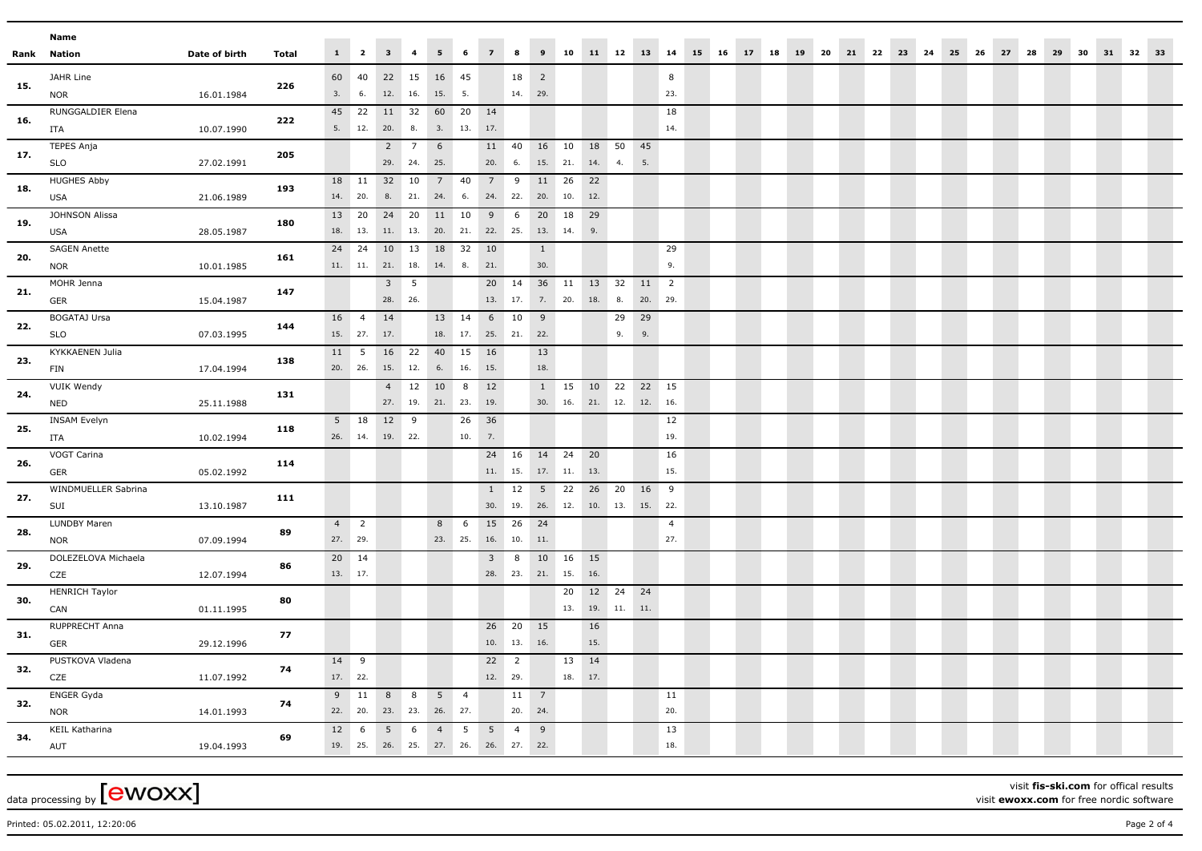|     | Name                              |               |       |                |                 |                                        |                  |                 |                 |                 |                     |                            |                       |            |                         |         |                |                        |       |                         |  |  |  |       |      |    |       |    |  |
|-----|-----------------------------------|---------------|-------|----------------|-----------------|----------------------------------------|------------------|-----------------|-----------------|-----------------|---------------------|----------------------------|-----------------------|------------|-------------------------|---------|----------------|------------------------|-------|-------------------------|--|--|--|-------|------|----|-------|----|--|
|     | Rank Nation                       | Date of birth | Total |                |                 | $1 \quad 2 \quad 3 \quad 4$            |                  | 5 <sub>1</sub>  | 6               | 7 8             |                     |                            |                       |            |                         |         |                | 9 10 11 12 13 14 15 16 | 17 18 | 19 20 21 22 23 24 25 26 |  |  |  | 27 28 | - 29 | 30 | 31 32 | 33 |  |
|     | JAHR Line                         |               |       |                | 60 40           | 22 15 16 45                            |                  |                 |                 |                 | 18                  | $\overline{\phantom{0}}$ 2 |                       |            |                         |         | 8              |                        |       |                         |  |  |  |       |      |    |       |    |  |
| 15. | <b>NOR</b>                        | 16.01.1984    | 226   | 3.             | 6.              | 12. 16.                                |                  | 15. 5.          |                 |                 | 14. 29.             |                            |                       |            |                         |         | 23.            |                        |       |                         |  |  |  |       |      |    |       |    |  |
|     | RUNGGALDIER Elena                 |               |       | 45             | 22              | 11 32                                  |                  | 60 20           |                 | 14              |                     |                            |                       |            |                         |         | 18             |                        |       |                         |  |  |  |       |      |    |       |    |  |
| 16. | ITA                               | 10.07.1990    | 222   |                |                 | 5. 12. 20. 8.                          |                  |                 | 3. 13. 17.      |                 |                     |                            |                       |            |                         |         | 14.            |                        |       |                         |  |  |  |       |      |    |       |    |  |
| 17. | TEPES Anja                        |               | 205   |                |                 |                                        | $2 \overline{7}$ | 6 <sup>6</sup>  |                 | 11 40           |                     |                            | 16 10                 | 18         | 50                      | 45      |                |                        |       |                         |  |  |  |       |      |    |       |    |  |
|     | <b>SLO</b>                        | 27.02.1991    |       |                |                 | 29. 24.                                |                  | 25.             |                 | 20.             | 6.                  |                            | 15. 21.               | 14.        | 4.                      | 5.      |                |                        |       |                         |  |  |  |       |      |    |       |    |  |
| 18. | <b>HUGHES Abby</b>                |               | 193   |                | 18 11           | 32 10                                  |                  | $7\overline{ }$ | 40              | $7\overline{ }$ | 9                   | 11                         | 26                    | 22         |                         |         |                |                        |       |                         |  |  |  |       |      |    |       |    |  |
|     | USA                               | 21.06.1989    |       |                | 14. 20.         | 8.                                     | 21.              | 24.             | 6.              | 24.             | 22.                 | 20.                        | 10.                   | 12.        |                         |         |                |                        |       |                         |  |  |  |       |      |    |       |    |  |
| 19. | JOHNSON Alissa                    |               | 180   |                | 13 20           | 24 20                                  |                  | 11 10           |                 | 9               | $6^{\circ}$         | 20                         | 18                    | 29         |                         |         |                |                        |       |                         |  |  |  |       |      |    |       |    |  |
|     | USA                               | 28.05.1987    |       |                | 18. 13.         | 11. 13.                                |                  |                 |                 |                 |                     | 20. 21. 22. 25. 13. 14.    |                       | 9.         |                         |         |                |                        |       |                         |  |  |  |       |      |    |       |    |  |
| 20. | <b>SAGEN Anette</b>               |               | 161   |                | 24 24           | 10 13                                  |                  | 18 32           |                 | 10              |                     | $\mathbf{1}$               |                       |            |                         |         | 29             |                        |       |                         |  |  |  |       |      |    |       |    |  |
|     | <b>NOR</b>                        | 10.01.1985    |       |                |                 | $11. \qquad 11. \qquad 21. \qquad 18.$ |                  | 14.             | 8.              | 21.             |                     | 30.                        |                       |            |                         |         | 9.             |                        |       |                         |  |  |  |       |      |    |       |    |  |
| 21. | MOHR Jenna                        |               | 147   |                |                 | $3 \quad 5$                            |                  |                 |                 |                 | 20 14               |                            | 36 11                 | 13 32      |                         | 11      | $\overline{2}$ |                        |       |                         |  |  |  |       |      |    |       |    |  |
|     | GER                               | 15.04.1987    |       |                |                 | 28. 26.                                |                  |                 |                 |                 | 13. 17.             |                            |                       | 7. 20. 18. | 8.                      | 20.     | 29.            |                        |       |                         |  |  |  |       |      |    |       |    |  |
| 22. | <b>BOGATAJ Ursa</b>               |               | 144   | 16             | $\overline{4}$  | 14                                     |                  | 13 14           |                 | 6               | 10                  | 9                          |                       |            | 29                      | 29      |                |                        |       |                         |  |  |  |       |      |    |       |    |  |
|     | <b>SLO</b>                        | 07.03.1995    |       |                | 15. 27.         | 17.                                    |                  |                 |                 |                 | 18. 17. 25. 21. 22. |                            |                       |            | 9.                      | 9.      |                |                        |       |                         |  |  |  |       |      |    |       |    |  |
| 23. | KYKKAENEN Julia                   |               | 138   | 11             | $5\overline{5}$ | 16 22                                  |                  | 40 15           |                 | 16              |                     | 13                         |                       |            |                         |         |                |                        |       |                         |  |  |  |       |      |    |       |    |  |
|     | FIN                               | 17.04.1994    |       |                | 20. 26.         | 15. 12.                                |                  | 6.              | 16.             | 15.             |                     | 18.                        |                       |            |                         |         |                |                        |       |                         |  |  |  |       |      |    |       |    |  |
| 24. | VUIK Wendy                        |               | 131   |                |                 | 4<br>27. 19.                           | 12               | 10 8<br>21. 23. |                 | 12<br>19.       |                     |                            | $1 \t15$              | 10 22      | 30. 16. 21. 12. 12. 16. | 22 15   |                |                        |       |                         |  |  |  |       |      |    |       |    |  |
|     | <b>NED</b><br><b>INSAM Evelyn</b> | 25.11.1988    |       | 5 <sub>1</sub> | 18              | 12 9                                   |                  |                 | 26              | 36              |                     |                            |                       |            |                         |         | 12             |                        |       |                         |  |  |  |       |      |    |       |    |  |
| 25. | ITA                               | 10.02.1994    | 118   |                | 26. 14.         | 19. 22.                                |                  |                 | 10.             | 7.              |                     |                            |                       |            |                         |         | 19.            |                        |       |                         |  |  |  |       |      |    |       |    |  |
|     | VOGT Carina                       |               |       |                |                 |                                        |                  |                 |                 |                 | 24 16               | 14 24                      |                       | 20         |                         |         | 16             |                        |       |                         |  |  |  |       |      |    |       |    |  |
| 26. | GER                               | 05.02.1992    | 114   |                |                 |                                        |                  |                 |                 |                 |                     |                            | $11.$ 15. 17. 11. 13. |            |                         |         | 15.            |                        |       |                         |  |  |  |       |      |    |       |    |  |
|     | WINDMUELLER Sabrina               |               |       |                |                 |                                        |                  |                 |                 |                 | $1 \quad 12$        | 5 22                       |                       | 26 20      |                         | 16      | 9              |                        |       |                         |  |  |  |       |      |    |       |    |  |
| 27. | SUI                               | 13.10.1987    | 111   |                |                 |                                        |                  |                 |                 |                 |                     |                            |                       |            | 30. 19. 26. 12. 10. 13. | 15. 22. |                |                        |       |                         |  |  |  |       |      |    |       |    |  |
|     | LUNDBY Maren                      |               |       | 4              | $\overline{2}$  |                                        |                  | 8               | 6               |                 | 15 26               | 24                         |                       |            |                         |         | $\overline{4}$ |                        |       |                         |  |  |  |       |      |    |       |    |  |
| 28. | <b>NOR</b>                        | 07.09.1994    | 89    |                | 27. 29.         |                                        |                  | 23. 25.         |                 |                 | 16. 10. 11.         |                            |                       |            |                         |         | 27.            |                        |       |                         |  |  |  |       |      |    |       |    |  |
|     | DOLEZELOVA Michaela               |               |       |                | 20 14           |                                        |                  |                 |                 | 3 <sup>7</sup>  | 8                   |                            | 10 16                 | 15         |                         |         |                |                        |       |                         |  |  |  |       |      |    |       |    |  |
| 29. | CZE                               | 12.07.1994    | 86    |                | 13. 17.         |                                        |                  |                 |                 |                 |                     | 28. 23. 21. 15.            |                       | 16.        |                         |         |                |                        |       |                         |  |  |  |       |      |    |       |    |  |
|     | <b>HENRICH Taylor</b>             |               |       |                |                 |                                        |                  |                 |                 |                 |                     |                            | 20                    | 12 24      |                         | 24      |                |                        |       |                         |  |  |  |       |      |    |       |    |  |
| 30. | CAN                               | 01.11.1995    | 80    |                |                 |                                        |                  |                 |                 |                 |                     |                            |                       |            | $13.$ 19. 11. 11.       |         |                |                        |       |                         |  |  |  |       |      |    |       |    |  |
|     | RUPPRECHT Anna                    |               |       |                |                 |                                        |                  |                 |                 |                 | 26 20 15            |                            |                       | 16         |                         |         |                |                        |       |                         |  |  |  |       |      |    |       |    |  |
| 31. | GER                               | 29.12.1996    | 77    |                |                 |                                        |                  |                 |                 |                 | $10.$ 13. 16.       |                            |                       | 15.        |                         |         |                |                        |       |                         |  |  |  |       |      |    |       |    |  |
| 32. | PUSTKOVA Vladena                  |               |       | 14             | 9               |                                        |                  |                 |                 | $22 \quad 2$    |                     |                            | 13                    | 14         |                         |         |                |                        |       |                         |  |  |  |       |      |    |       |    |  |
|     | CZE                               | 11.07.1992    | 74    |                | 17. 22.         |                                        |                  |                 |                 | 12. 29.         |                     |                            | 18. 17.               |            |                         |         |                |                        |       |                         |  |  |  |       |      |    |       |    |  |
| 32. | ENGER Gyda                        |               | 74    |                | 9 11            | 8 8                                    |                  | $5 \quad 4$     |                 |                 | 11 7                |                            |                       |            |                         |         | 11             |                        |       |                         |  |  |  |       |      |    |       |    |  |
|     | <b>NOR</b>                        | 14.01.1993    |       |                |                 | 22. 20. 23. 23.                        |                  | 26. 27.         |                 |                 | 20. 24.             |                            |                       |            |                         |         | 20.            |                        |       |                         |  |  |  |       |      |    |       |    |  |
| 34. | KEIL Katharina                    |               | 69    | 12             | 6               | 5                                      | 6                | $\overline{4}$  | $5\overline{5}$ | 5               | $\overline{4}$      | 9                          |                       |            |                         |         | 13             |                        |       |                         |  |  |  |       |      |    |       |    |  |
|     | AUT                               | 19.04.1993    |       |                |                 | 19. 25. 26. 25. 27. 26. 26. 27. 22.    |                  |                 |                 |                 |                     |                            |                       |            |                         |         | 18.            |                        |       |                         |  |  |  |       |      |    |       |    |  |

data processing by  $[ewoxx]$ 

visit **fis-ski.com** for offical results visit **ewoxx.com** for free nordic software

Printed: 05.02.2011, 12:20:06 Page 2 of 4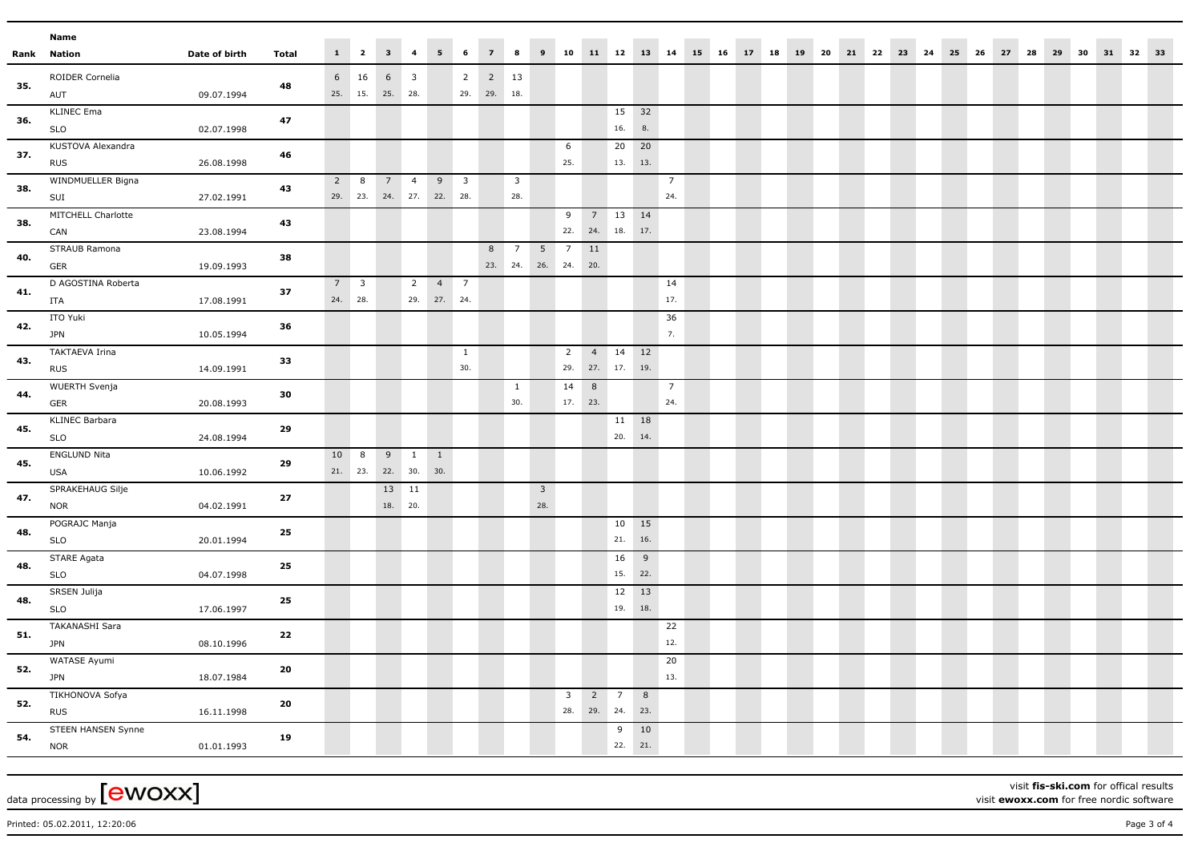|      | Name                         |               |              |    |                        |                                |                         |                |                          |             |                         |                     |                         |     |                        |     |                |                                                                           |  |  |  |  |  |  |  |  |  |
|------|------------------------------|---------------|--------------|----|------------------------|--------------------------------|-------------------------|----------------|--------------------------|-------------|-------------------------|---------------------|-------------------------|-----|------------------------|-----|----------------|---------------------------------------------------------------------------|--|--|--|--|--|--|--|--|--|
| Rank | Nation                       | Date of birth | <b>Total</b> |    |                        | $1 \qquad 2 \qquad 3 \qquad 4$ |                         | $5 \t 6$       |                          | $7 \quad 8$ |                         |                     |                         |     |                        |     |                | 9 10 11 12 13 14 15 16 17 18 19 20 21 22 23 24 25 26 27 28 29 30 31 32 33 |  |  |  |  |  |  |  |  |  |
|      | ROIDER Cornelia              |               |              |    | 6 16                   | $6\overline{6}$                | $\overline{\mathbf{3}}$ |                | $\overline{2}$           | 2 13        |                         |                     |                         |     |                        |     |                |                                                                           |  |  |  |  |  |  |  |  |  |
| 35.  | AUT                          | 09.07.1994    | 48           |    |                        | 25. 15. 25. 28.                |                         |                |                          | 29. 29. 18. |                         |                     |                         |     |                        |     |                |                                                                           |  |  |  |  |  |  |  |  |  |
|      | <b>KLINEC Ema</b>            |               |              |    |                        |                                |                         |                |                          |             |                         |                     |                         |     | 15 32                  |     |                |                                                                           |  |  |  |  |  |  |  |  |  |
| 36.  | <b>SLO</b>                   | 02.07.1998    | 47           |    |                        |                                |                         |                |                          |             |                         |                     |                         |     | 16.                    | 8.  |                |                                                                           |  |  |  |  |  |  |  |  |  |
| 37.  | KUSTOVA Alexandra            |               | 46           |    |                        |                                |                         |                |                          |             |                         |                     | 6                       |     | 20 20                  |     |                |                                                                           |  |  |  |  |  |  |  |  |  |
|      | <b>RUS</b>                   | 26.08.1998    |              |    |                        |                                |                         |                |                          |             |                         |                     | 25.                     |     | 13. 13.                |     |                |                                                                           |  |  |  |  |  |  |  |  |  |
| 38.  | WINDMUELLER Bigna            |               | 43           |    | $2 \quad 8$            | $7 \quad 4$                    |                         | 9              | $\overline{\phantom{a}}$ |             | $\overline{\mathbf{3}}$ |                     |                         |     |                        |     | $\overline{7}$ |                                                                           |  |  |  |  |  |  |  |  |  |
|      | SUI                          | 27.02.1991    |              |    |                        | 29. 23. 24. 27. 22. 28.        |                         |                |                          |             | 28.                     |                     |                         |     |                        |     | 24.            |                                                                           |  |  |  |  |  |  |  |  |  |
| 38.  | MITCHELL Charlotte           |               | 43           |    |                        |                                |                         |                |                          |             |                         |                     | 9                       |     | 7 13 14                |     |                |                                                                           |  |  |  |  |  |  |  |  |  |
|      | CAN                          | 23.08.1994    |              |    |                        |                                |                         |                |                          |             |                         |                     |                         |     | 22. 24. 18. 17.        |     |                |                                                                           |  |  |  |  |  |  |  |  |  |
| 40.  | STRAUB Ramona                |               | 38           |    |                        |                                |                         |                |                          | 8           | $\overline{7}$          | 5 <sub>5</sub>      | $\overline{7}$          | 11  |                        |     |                |                                                                           |  |  |  |  |  |  |  |  |  |
|      | GER                          | 19.09.1993    |              |    |                        |                                |                         |                |                          |             |                         | 23. 24. 26. 24. 20. |                         |     |                        |     |                |                                                                           |  |  |  |  |  |  |  |  |  |
| 41.  | D AGOSTINA Roberta           |               | 37           |    | $7 \quad 3$<br>24. 28. |                                | $\overline{2}$          | 47             |                          |             |                         |                     |                         |     |                        |     | 14<br>17.      |                                                                           |  |  |  |  |  |  |  |  |  |
|      | ITA                          | 17.08.1991    |              |    |                        |                                |                         | 29. 27. 24.    |                          |             |                         |                     |                         |     |                        |     |                |                                                                           |  |  |  |  |  |  |  |  |  |
| 42.  | ITO Yuki                     |               | 36           |    |                        |                                |                         |                |                          |             |                         |                     |                         |     |                        |     | 36<br>7.       |                                                                           |  |  |  |  |  |  |  |  |  |
|      | <b>JPN</b>                   | 10.05.1994    |              |    |                        |                                |                         |                |                          |             |                         |                     |                         |     |                        |     |                |                                                                           |  |  |  |  |  |  |  |  |  |
| 43.  | TAKTAEVA Irina<br><b>RUS</b> |               | 33           |    |                        |                                |                         |                | $\mathbf{1}$<br>30.      |             |                         |                     | $\overline{2}$<br>29.   |     | 4 14 12<br>27. 17. 19. |     |                |                                                                           |  |  |  |  |  |  |  |  |  |
|      | <b>WUERTH Svenja</b>         | 14.09.1991    |              |    |                        |                                |                         |                |                          |             | $\mathbf{1}$            |                     | 14                      | 8   |                        |     | $\overline{7}$ |                                                                           |  |  |  |  |  |  |  |  |  |
| 44.  | GER                          | 20.08.1993    | 30           |    |                        |                                |                         |                |                          |             | 30.                     |                     | 17. 23.                 |     |                        |     | 24.            |                                                                           |  |  |  |  |  |  |  |  |  |
|      | <b>KLINEC Barbara</b>        |               |              |    |                        |                                |                         |                |                          |             |                         |                     |                         |     | 11 18                  |     |                |                                                                           |  |  |  |  |  |  |  |  |  |
| 45.  | <b>SLO</b>                   | 24.08.1994    | 29           |    |                        |                                |                         |                |                          |             |                         |                     |                         |     | 20. 14.                |     |                |                                                                           |  |  |  |  |  |  |  |  |  |
|      | <b>ENGLUND Nita</b>          |               |              | 10 | 8                      | $9 \t1$                        |                         | $\overline{1}$ |                          |             |                         |                     |                         |     |                        |     |                |                                                                           |  |  |  |  |  |  |  |  |  |
| 45.  | <b>USA</b>                   | 10.06.1992    | 29           |    |                        | 21. 23. 22. 30. 30.            |                         |                |                          |             |                         |                     |                         |     |                        |     |                |                                                                           |  |  |  |  |  |  |  |  |  |
|      | SPRAKEHAUG Silje             |               |              |    |                        | 13 11                          |                         |                |                          |             |                         | $\mathbf{3}$        |                         |     |                        |     |                |                                                                           |  |  |  |  |  |  |  |  |  |
| 47.  | <b>NOR</b>                   | 04.02.1991    | 27           |    |                        | 18. 20.                        |                         |                |                          |             |                         | 28.                 |                         |     |                        |     |                |                                                                           |  |  |  |  |  |  |  |  |  |
|      | POGRAJC Manja                |               |              |    |                        |                                |                         |                |                          |             |                         |                     |                         |     | 10 15                  |     |                |                                                                           |  |  |  |  |  |  |  |  |  |
| 48.  | <b>SLO</b>                   | 20.01.1994    | 25           |    |                        |                                |                         |                |                          |             |                         |                     |                         |     | 21. 16.                |     |                |                                                                           |  |  |  |  |  |  |  |  |  |
|      | STARE Agata                  |               |              |    |                        |                                |                         |                |                          |             |                         |                     |                         |     | 16                     | 9   |                |                                                                           |  |  |  |  |  |  |  |  |  |
| 48.  | <b>SLO</b>                   | 04.07.1998    | 25           |    |                        |                                |                         |                |                          |             |                         |                     |                         |     | 15. 22.                |     |                |                                                                           |  |  |  |  |  |  |  |  |  |
|      | SRSEN Julija                 |               |              |    |                        |                                |                         |                |                          |             |                         |                     |                         |     | 12 13                  |     |                |                                                                           |  |  |  |  |  |  |  |  |  |
| 48.  | <b>SLO</b>                   | 17.06.1997    | 25           |    |                        |                                |                         |                |                          |             |                         |                     |                         |     | 19. 18.                |     |                |                                                                           |  |  |  |  |  |  |  |  |  |
|      | TAKANASHI Sara               |               |              |    |                        |                                |                         |                |                          |             |                         |                     |                         |     |                        |     | 22             |                                                                           |  |  |  |  |  |  |  |  |  |
| 51.  | <b>JPN</b>                   | 08.10.1996    | 22           |    |                        |                                |                         |                |                          |             |                         |                     |                         |     |                        |     | 12.            |                                                                           |  |  |  |  |  |  |  |  |  |
| 52.  | WATASE Ayumi                 |               | 20           |    |                        |                                |                         |                |                          |             |                         |                     |                         |     |                        |     | 20             |                                                                           |  |  |  |  |  |  |  |  |  |
|      | <b>JPN</b>                   | 18.07.1984    |              |    |                        |                                |                         |                |                          |             |                         |                     |                         |     |                        |     | 13.            |                                                                           |  |  |  |  |  |  |  |  |  |
| 52.  | TIKHONOVA Sofya              |               | 20           |    |                        |                                |                         |                |                          |             |                         |                     | $\overline{\mathbf{3}}$ |     | $2 \quad 7$            | 8   |                |                                                                           |  |  |  |  |  |  |  |  |  |
|      | <b>RUS</b>                   | 16.11.1998    |              |    |                        |                                |                         |                |                          |             |                         |                     | 28.                     | 29. | 24.                    | 23. |                |                                                                           |  |  |  |  |  |  |  |  |  |
| 54.  | STEEN HANSEN Synne           |               | 19           |    |                        |                                |                         |                |                          |             |                         |                     |                         |     | 9                      | 10  |                |                                                                           |  |  |  |  |  |  |  |  |  |
|      | <b>NOR</b>                   | 01.01.1993    |              |    |                        |                                |                         |                |                          |             |                         |                     |                         |     | 22. 21.                |     |                |                                                                           |  |  |  |  |  |  |  |  |  |

data processing by  $[ewoxx]$ 

visit **fis-ski.com** for offical results visit **ewoxx.com** for free nordic software

Printed: 05.02.2011, 12:20:06 Page 3 of 4